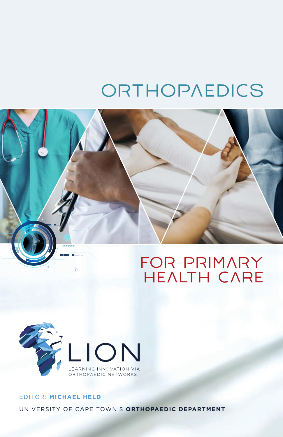# ORTHOPAEDICS





### EDITOR: MICHAEL HELD UNIVERSITY OF CAPE TOWN'S ORTHOPAEDIC DEPARTMENT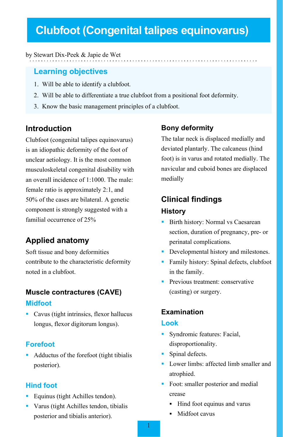# **Clubfoot (Congenital talipes equinovarus)**

#### by Stewart Dix-Peek & Japie de Wet

#### **Learning objectives**

- 1. Will be able to identify a clubfoot.
- 2. Will be able to differentiate a true clubfoot from a positional foot deformity.
- 3. Know the basic management principles of a clubfoot.

#### **Introduction**

Clubfoot (congenital talipes equinovarus) is an idiopathic deformity of the foot of unclear aetiology. It is the most common musculoskeletal congenital disability with an overall incidence of 1:1000. The male: female ratio is approximately 2:1, and 50% of the cases are bilateral. A genetic component is strongly suggested with a familial occurrence of 25%

#### **Applied anatomy**

Soft tissue and bony deformities contribute to the characteristic deformity noted in a clubfoot.

#### **Muscle contractures (CAVE) Midfoot**

 Cavus (tight intrinsics, flexor hallucus longus, flexor digitorum longus).

#### **Forefoot**

 Adductus of the forefoot (tight tibialis posterior).

#### **Hind foot**

- **Equinus (tight Achilles tendon).**
- Varus (tight Achilles tendon, tibialis posterior and tibialis anterior).

#### **Bony deformity**

The talar neck is displaced medially and deviated plantarly. The calcaneus (hind foot) is in varus and rotated medially. The navicular and cuboid bones are displaced medially

# **Clinical findings History**

- Birth history: Normal vs Caesarean section, duration of pregnancy, pre- or perinatal complications.
- Developmental history and milestones.
- Family history: Spinal defects, clubfoot in the family.
- **Previous treatment: conservative** (casting) or surgery.

#### **Examination**

#### **Look**

- Syndromic features: Facial, disproportionality.
- Spinal defects.
- **Lower limbs: affected limb smaller and** atrophied.
- Foot: smaller posterior and medial crease
	- Hind foot equinus and varus
	- Midfoot cavus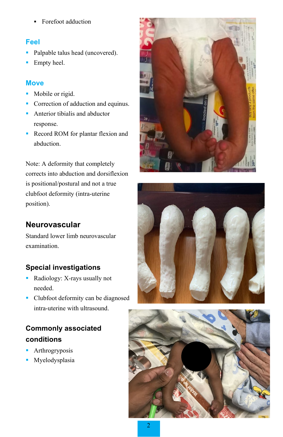**Forefoot adduction** 

#### **Feel**

- Palpable talus head (uncovered).
- **Empty heel.**

#### **Move**

- Mobile or rigid.
- Correction of adduction and equinus.
- **Anterior tibialis and abductor** response.
- **Record ROM** for plantar flexion and abduction.

Note: A deformity that completely corrects into abduction and dorsiflexion is positional/postural and not a true clubfoot deformity (intra-uterine position).

## **Neurovascular**

Standard lower limb neurovascular examination.

#### **Special investigations**

- Radiology: X-rays usually not needed.
- Clubfoot deformity can be diagnosed intra-uterine with ultrasound.

# **Commonly associated conditions**

- **Arthrogryposis**
- Myelodysplasia





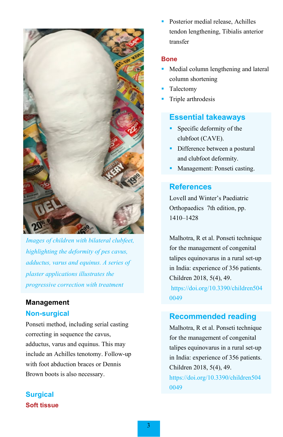

*Images of children with bilateral clubfeet, highlighting the deformity of pes cavus, adductus, varus and equinus. A series of plaster applications illustrates the progressive correction with treatment*

#### **Management**

#### **Non-surgical**

Ponseti method, including serial casting correcting in sequence the cavus, adductus, varus and equinus. This may include an Achilles tenotomy. Follow-up with foot abduction braces or Dennis Brown boots is also necessary.

**Surgical Soft tissue**  Posterior medial release, Achilles tendon lengthening, Tibialis anterior transfer

#### **Bone**

- Medial column lengthening and lateral column shortening
- Talectomy
- **Triple arthrodesis**

#### **Essential takeaways**

- **Specific deformity of the** clubfoot (CAVE).
- Difference between a postural and clubfoot deformity.
- Management: Ponseti casting.

#### **References**

Lovell and Winter's Paediatric Orthopaedics 7th edition, pp. 1410–1428

Malhotra, R et al. Ponseti technique for the management of congenital talipes equinovarus in a rural set-up in India: experience of 356 patients. Children 2018, 5(4), 49.

[https://doi.org/10.3390/children504](https://doi.org/10.3390/children5040049) [0049](https://doi.org/10.3390/children5040049)

#### **Recommended reading**

Malhotra, R et al. Ponseti technique for the management of congenital talipes equinovarus in a rural set-up in India: experience of 356 patients. Children 2018, 5(4), 49.

[https://doi.org/10.3390/children504](https://doi.org/10.3390/children5040049) [0049](https://doi.org/10.3390/children5040049)